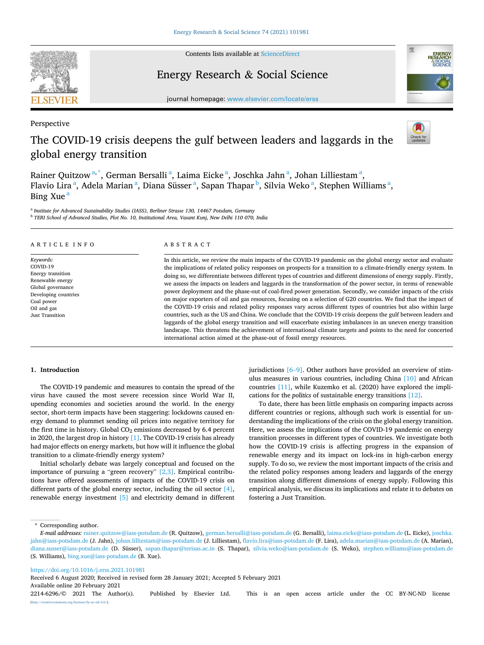

Contents lists available at [ScienceDirect](www.sciencedirect.com/science/journal/22146296)

# Energy Research & Social Science



journal homepage: [www.elsevier.com/locate/erss](https://www.elsevier.com/locate/erss)

Perspective

# The COVID-19 crisis deepens the gulf between leaders and laggards in the global energy transition



Rainer Quitzow<sup>a,\*</sup>, German Bersalli<sup>a</sup>, Laima Eicke<sup>a</sup>, Joschka Jahn<sup>a</sup>, Johan Lilliestam<sup>a</sup>, Flavio Lira <sup>a</sup>, Adela Marian <sup>a</sup>, Diana Süsser <sup>a</sup>, Sapan Thapar <sup>b</sup>, Silvia Weko <sup>a</sup>, Stephen Williams <sup>a</sup>, Bing Xue<sup>a</sup>

<sup>a</sup> *Institute for Advanced Sustainability Studies (IASS), Berliner Strasse 130, 14467 Potsdam, Germany* <sup>b</sup> *TERI School of Advanced Studies, Plot No. 10, Institutional Area, Vasant Kunj, New Delhi 110 070, India* 

| ARTICLE INFO                                                                                                                                                | <b>ABSTRACT</b>                                                                                                                                                                                                                                                                                                                                                                                                                                                                                                                                                                                                                                                                                                                                                                                                                                                                                                                                                                                                                                                                                                                                                                                                                                                           |  |  |  |
|-------------------------------------------------------------------------------------------------------------------------------------------------------------|---------------------------------------------------------------------------------------------------------------------------------------------------------------------------------------------------------------------------------------------------------------------------------------------------------------------------------------------------------------------------------------------------------------------------------------------------------------------------------------------------------------------------------------------------------------------------------------------------------------------------------------------------------------------------------------------------------------------------------------------------------------------------------------------------------------------------------------------------------------------------------------------------------------------------------------------------------------------------------------------------------------------------------------------------------------------------------------------------------------------------------------------------------------------------------------------------------------------------------------------------------------------------|--|--|--|
| Keywords:<br>COVID-19<br>Energy transition<br>Renewable energy<br>Global governance<br>Developing countries<br>Coal power<br>Oil and gas<br>Just Transition | In this article, we review the main impacts of the COVID-19 pandemic on the global energy sector and evaluate<br>the implications of related policy responses on prospects for a transition to a climate-friendly energy system. In<br>doing so, we differentiate between different types of countries and different dimensions of energy supply. Firstly,<br>we assess the impacts on leaders and laggards in the transformation of the power sector, in terms of renewable<br>power deployment and the phase-out of coal-fired power generation. Secondly, we consider impacts of the crisis<br>on major exporters of oil and gas resources, focusing on a selection of G20 countries. We find that the impact of<br>the COVID-19 crisis and related policy responses vary across different types of countries but also within large<br>countries, such as the US and China. We conclude that the COVID-19 crisis deepens the gulf between leaders and<br>laggards of the global energy transition and will exacerbate existing imbalances in an uneven energy transition<br>landscape. This threatens the achievement of international climate targets and points to the need for concerted<br>international action aimed at the phase-out of fossil energy resources. |  |  |  |

# **1. Introduction**

The COVID-19 pandemic and measures to contain the spread of the virus have caused the most severe recession since World War II, upending economies and societies around the world. In the energy sector, short-term impacts have been staggering: lockdowns caused energy demand to plummet sending oil prices into negative territory for the first time in history. Global  $CO<sub>2</sub>$  emissions decreased by 6.4 percent in 2020, the largest drop in history [\[1\].](#page-9-0) The COVID-19 crisis has already had major effects on energy markets, but how will it influence the global transition to a climate-friendly energy system?

Initial scholarly debate was largely conceptual and focused on the importance of pursuing a "green recovery" [\[2,3\].](#page-9-0) Empirical contributions have offered assessments of impacts of the COVID-19 crisis on different parts of the global energy sector, including the oil sector [\[4\]](#page-9-0), renewable energy investment [\[5\]](#page-9-0) and electricity demand in different jurisdictions  $[6–9]$  $[6–9]$ . Other authors have provided an overview of stimulus measures in various countries, including China [\[10\]](#page-9-0) and African countries [\[11\],](#page-9-0) while Kuzemko et al. (2020) have explored the implications for the *politics* of sustainable energy transitions [\[12\]](#page-9-0).

To date, there has been little emphasis on comparing impacts across different countries or regions, although such work is essential for understanding the implications of the crisis on the global energy transition. Here, we assess the implications of the COVID-19 pandemic on energy transition processes in different types of countries. We investigate both how the COVID-19 crisis is affecting progress in the expansion of renewable energy and its impact on lock-ins in high-carbon energy supply. To do so, we review the most important impacts of the crisis and the related policy responses among leaders and laggards of the energy transition along different dimensions of energy supply. Following this empirical analysis, we discuss its implications and relate it to debates on fostering a Just Transition.

\* Corresponding author.

<https://doi.org/10.1016/j.erss.2021.101981>

Available online 20 February 2021 Received 6 August 2020; Received in revised form 28 January 2021; Accepted 5 February 2021

*E-mail addresses:* [rainer.quitzow@iass-potsdam.de](mailto:rainer.quitzow@iass-potsdam.de) (R. Quitzow), [german.bersalli@iass-potsdam.de](mailto:german.bersalli@iass-potsdam.de) (G. Bersalli), [laima.eicke@iass-potsdam.de](mailto:laima.eicke@iass-potsdam.de) (L. Eicke), [joschka.](mailto:joschka.jahn@iass-potsdam.de)  [jahn@iass-potsdam.de](mailto:joschka.jahn@iass-potsdam.de) (J. Jahn), [johan.lilliestam@iass-potsdam.de](mailto:johan.lilliestam@iass-potsdam.de) (J. Lilliestam), [flavio.lira@iass-potsdam.de](mailto:flavio.lira@iass-potsdam.de) (F. Lira), [adela.marian@iass-potsdam.de](mailto:adela.marian@iass-potsdam.de) (A. Marian), [diana.susser@iass-potsdam.de](mailto:diana.susser@iass-potsdam.de) (D. Süsser), [sapan.thapar@terisas.ac.in](mailto:sapan.thapar@terisas.ac.in) (S. Thapar), [silvia.weko@iass-potsdam.de](mailto:silvia.weko@iass-potsdam.de) (S. Weko), stephen.williams@iass-potsdam.de (S. Williams), [bing.xue@iass-potsdam.de](mailto:bing.xue@iass-potsdam.de) (B. Xue).

<sup>2214-6296/© 2021</sup> The Author(s). Published by Elsevier Ltd. This is an open access article under the CC BY-NC-ND license [\(http://creativecommons.org/licenses/by-nc-nd/4.0/\)](http://creativecommons.org/licenses/by-nc-nd/4.0/).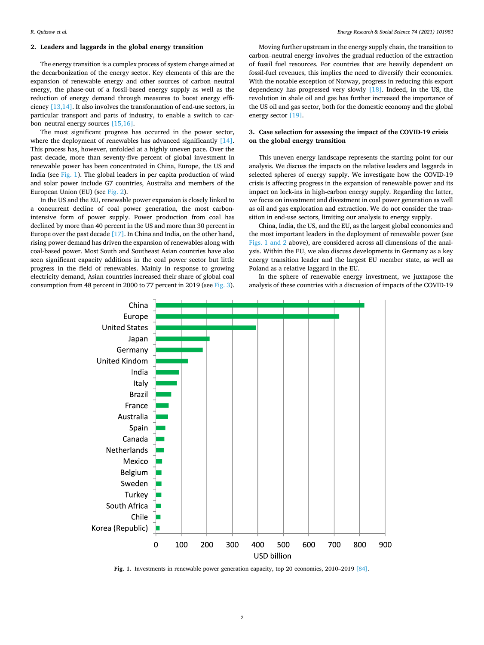# **2. Leaders and laggards in the global energy transition**

The energy transition is a complex process of system change aimed at the decarbonization of the energy sector. Key elements of this are the expansion of renewable energy and other sources of carbon–neutral energy, the phase-out of a fossil-based energy supply as well as the reduction of energy demand through measures to boost energy efficiency [\[13,14\]](#page-9-0). It also involves the transformation of end-use sectors, in particular transport and parts of industry, to enable a switch to carbon–neutral energy sources [\[15,16\]](#page-9-0).

The most significant progress has occurred in the power sector, where the deployment of renewables has advanced significantly [\[14\]](#page-9-0). This process has, however, unfolded at a highly uneven pace. Over the past decade, more than seventy-five percent of global investment in renewable power has been concentrated in China, Europe, the US and India (see Fig. 1). The global leaders in per capita production of wind and solar power include G7 countries, Australia and members of the European Union (EU) (see [Fig. 2\)](#page-2-0).

In the US and the EU, renewable power expansion is closely linked to a concurrent decline of coal power generation, the most carbonintensive form of power supply. Power production from coal has declined by more than 40 percent in the US and more than 30 percent in Europe over the past decade [\[17\].](#page-9-0) In China and India, on the other hand, rising power demand has driven the expansion of renewables along with coal-based power. Most South and Southeast Asian countries have also seen significant capacity additions in the coal power sector but little progress in the field of renewables. Mainly in response to growing electricity demand, Asian countries increased their share of global coal consumption from 48 percent in 2000 to 77 percent in 2019 (see [Fig. 3](#page-2-0)).

Moving further upstream in the energy supply chain, the transition to carbon–neutral energy involves the gradual reduction of the extraction of fossil fuel resources. For countries that are heavily dependent on fossil-fuel revenues, this implies the need to diversify their economies. With the notable exception of Norway, progress in reducing this export dependency has progressed very slowly [\[18\]](#page-9-0). Indeed, in the US, the revolution in shale oil and gas has further increased the importance of the US oil and gas sector, both for the domestic economy and the global energy sector [\[19\].](#page-9-0)

# **3. Case selection for assessing the impact of the COVID-19 crisis on the global energy transition**

This uneven energy landscape represents the starting point for our analysis. We discuss the impacts on the relative leaders and laggards in selected spheres of energy supply. We investigate how the COVID-19 crisis is affecting progress in the expansion of renewable power and its impact on lock-ins in high-carbon energy supply. Regarding the latter, we focus on investment and divestment in coal power generation as well as oil and gas exploration and extraction. We do not consider the transition in end-use sectors, limiting our analysis to energy supply.

China, India, the US, and the EU, as the largest global economies and the most important leaders in the deployment of renewable power (see Figs. 1 and 2 above), are considered across all dimensions of the analysis. Within the EU, we also discuss developments in Germany as a key energy transition leader and the largest EU member state, as well as Poland as a relative laggard in the EU.

In the sphere of renewable energy investment, we juxtapose the analysis of these countries with a discussion of impacts of the COVID-19



**Fig. 1.** Investments in renewable power generation capacity, top 20 economies, 2010–2019 [\[84\].](#page-10-0)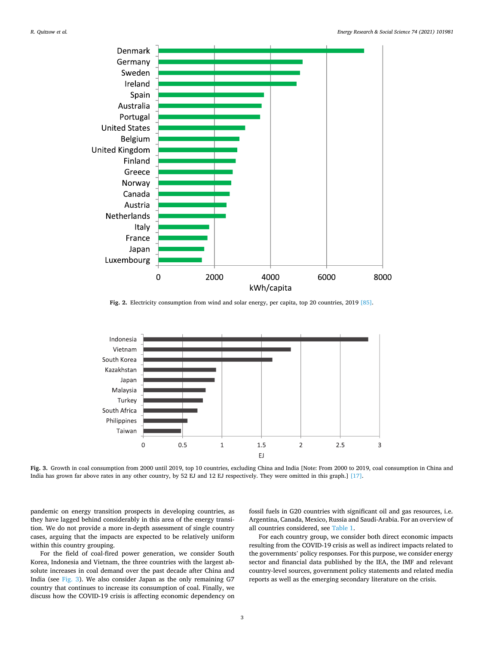<span id="page-2-0"></span>

**Fig. 2.** Electricity consumption from wind and solar energy, per capita, top 20 countries, 2019 [\[85\].](#page-10-0)



**Fig. 3.** Growth in coal consumption from 2000 until 2019, top 10 countries, excluding China and India [Note: From 2000 to 2019, coal consumption in China and India has grown far above rates in any other country, by 52 EJ and 12 EJ respectively. They were omitted in this graph.] [\[17\].](#page-9-0)

pandemic on energy transition prospects in developing countries, as they have lagged behind considerably in this area of the energy transition. We do not provide a more in-depth assessment of single country cases, arguing that the impacts are expected to be relatively uniform within this country grouping.

For the field of coal-fired power generation, we consider South Korea, Indonesia and Vietnam, the three countries with the largest absolute increases in coal demand over the past decade after China and India (see Fig. 3). We also consider Japan as the only remaining G7 country that continues to increase its consumption of coal. Finally, we discuss how the COVID-19 crisis is affecting economic dependency on fossil fuels in G20 countries with significant oil and gas resources, i.e. Argentina, Canada, Mexico, Russia and Saudi-Arabia. For an overview of all countries considered, see [Table 1](#page-3-0).

For each country group, we consider both direct economic impacts resulting from the COVID-19 crisis as well as indirect impacts related to the governments' policy responses. For this purpose, we consider energy sector and financial data published by the IEA, the IMF and relevant country-level sources, government policy statements and related media reports as well as the emerging secondary literature on the crisis.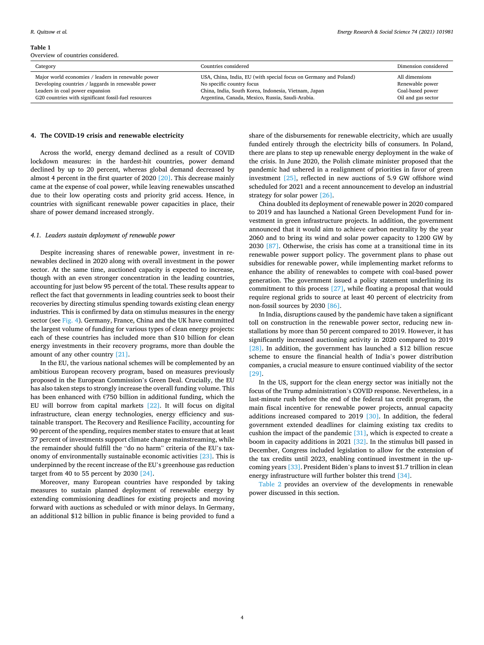#### <span id="page-3-0"></span>**Table 1**

Overview of countries considered.

| Category                                             | Countries considered                                             | Dimension considered |
|------------------------------------------------------|------------------------------------------------------------------|----------------------|
| Major world economies / leaders in renewable power   | USA, China, India, EU (with special focus on Germany and Poland) | All dimensions       |
| Developing countries / laggards in renewable power   | No specific country focus                                        | Renewable power      |
| Leaders in coal power expansion                      | China, India, South Korea, Indonesia, Vietnam, Japan             | Coal-based power     |
| G20 countries with significant fossil-fuel resources | Argentina, Canada, Mexico, Russia, Saudi-Arabia.                 | Oil and gas sector   |

#### **4. The COVID-19 crisis and renewable electricity**

Across the world, energy demand declined as a result of COVID lockdown measures: in the hardest-hit countries, power demand declined by up to 20 percent, whereas global demand decreased by almost 4 percent in the first quarter of 2020 [\[20\]](#page-9-0). This decrease mainly came at the expense of coal power, while leaving renewables unscathed due to their low operating costs and priority grid access. Hence, in countries with significant renewable power capacities in place, their share of power demand increased strongly.

#### *4.1. Leaders sustain deployment of renewable power*

Despite increasing shares of renewable power, investment in renewables declined in 2020 along with overall investment in the power sector. At the same time, auctioned capacity is expected to increase, though with an even stronger concentration in the leading countries, accounting for just below 95 percent of the total. These results appear to reflect the fact that governments in leading countries seek to boost their recoveries by directing stimulus spending towards existing clean energy industries. This is confirmed by data on stimulus measures in the energy sector (see [Fig. 4](#page-4-0)). Germany, France, China and the UK have committed the largest volume of funding for various types of clean energy projects: each of these countries has included more than \$10 billion for clean energy investments in their recovery programs, more than double the amount of any other country [\[21\].](#page-9-0)

In the EU, the various national schemes will be complemented by an ambitious European recovery program, based on measures previously proposed in the European Commission's Green Deal. Crucially, the EU has also taken steps to strongly increase the overall funding volume. This has been enhanced with €750 billion in additional funding, which the EU will borrow from capital markets [\[22\].](#page-9-0) It will focus on digital infrastructure, clean energy technologies, energy efficiency and sustainable transport. The Recovery and Resilience Facility, accounting for 90 percent of the spending, requires member states to ensure that at least 37 percent of investments support climate change mainstreaming, while the remainder should fulfill the "do no harm" criteria of the EU's taxonomy of environmentally sustainable economic activities [\[23\]](#page-9-0). This is underpinned by the recent increase of the EU's greenhouse gas reduction target from 40 to 55 percent by 2030 [\[24\].](#page-9-0)

Moreover, many European countries have responded by taking measures to sustain planned deployment of renewable energy by extending commissioning deadlines for existing projects and moving forward with auctions as scheduled or with minor delays. In Germany, an additional \$12 billion in public finance is being provided to fund a

share of the disbursements for renewable electricity, which are usually funded entirely through the electricity bills of consumers. In Poland, there are plans to step up renewable energy deployment in the wake of the crisis. In June 2020, the Polish climate minister proposed that the pandemic had ushered in a realignment of priorities in favor of green investment [\[25\],](#page-9-0) reflected in new auctions of 5.9 GW offshore wind scheduled for 2021 and a recent announcement to develop an industrial strategy for solar power [\[26\]](#page-9-0).

China doubled its deployment of renewable power in 2020 compared to 2019 and has launched a National Green Development Fund for investment in green infrastructure projects. In addition, the government announced that it would aim to achieve carbon neutrality by the year 2060 and to bring its wind and solar power capacity to 1200 GW by 2030 [\[87\]](#page-10-0). Otherwise, the crisis has come at a transitional time in its renewable power support policy. The government plans to phase out subsidies for renewable power, while implementing market reforms to enhance the ability of renewables to compete with coal-based power generation. The government issued a policy statement underlining its commitment to this process [\[27\],](#page-9-0) while floating a proposal that would require regional grids to source at least 40 percent of electricity from non-fossil sources by 2030 [\[86\]](#page-10-0).

In India, disruptions caused by the pandemic have taken a significant toll on construction in the renewable power sector, reducing new installations by more than 50 percent compared to 2019. However, it has significantly increased auctioning activity in 2020 compared to 2019 [\[28\]](#page-9-0). In addition, the government has launched a \$12 billion rescue scheme to ensure the financial health of India's power distribution companies, a crucial measure to ensure continued viability of the sector [\[29\]](#page-9-0).

In the US, support for the clean energy sector was initially not the focus of the Trump administration's COVID response. Nevertheless, in a last-minute rush before the end of the federal tax credit program, the main fiscal incentive for renewable power projects, annual capacity additions increased compared to 2019 [\[30\]](#page-9-0). In addition, the federal government extended deadlines for claiming existing tax credits to cushion the impact of the pandemic [\[31\]](#page-9-0), which is expected to create a boom in capacity additions in 2021 [\[32\].](#page-9-0) In the stimulus bill passed in December, Congress included legislation to allow for the extension of the tax credits until 2023, enabling continued investment in the upcoming years [\[33\].](#page-9-0) President Biden's plans to invest \$1.7 trillion in clean energy infrastructure will further bolster this trend [\[34\].](#page-9-0)

[Table 2](#page-4-0) provides an overview of the developments in renewable power discussed in this section.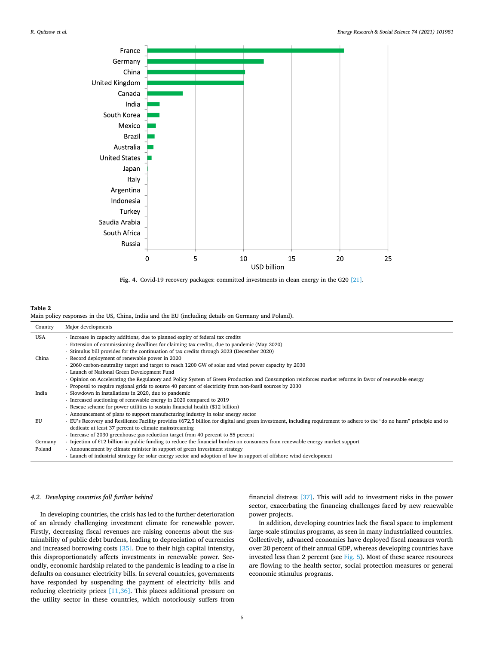<span id="page-4-0"></span>



## **Table 2**  Main policy responses in the US, China, India and the EU (including details on Germany and Poland).

| Country | Major developments                                                                                                                                                       |
|---------|--------------------------------------------------------------------------------------------------------------------------------------------------------------------------|
| USA     | - Increase in capacity additions, due to planned expiry of federal tax credits                                                                                           |
|         | - Extension of commissioning deadlines for claiming tax credits, due to pandemic (May 2020)                                                                              |
|         | - Stimulus bill provides for the continuation of tax credits through 2023 (December 2020)                                                                                |
| China   | - Record deployment of renewable power in 2020                                                                                                                           |
|         | - 2060 carbon-neutrality target and target to reach 1200 GW of solar and wind power capacity by 2030                                                                     |
|         | - Launch of National Green Development Fund                                                                                                                              |
|         | - Opinion on Accelerating the Regulatory and Policy System of Green Production and Consumption reinforces market reforms in favor of renewable energy                    |
|         | - Proposal to require regional grids to source 40 percent of electricity from non-fossil sources by 2030                                                                 |
| India   | - Slowdown in installations in 2020, due to pandemic                                                                                                                     |
|         | - Increased auctioning of renewable energy in 2020 compared to 2019                                                                                                      |
|         | - Rescue scheme for power utilities to sustain financial health (\$12 billion)                                                                                           |
|         | - Announcement of plans to support manufacturing industry in solar energy sector                                                                                         |
| EU      | - EU's Recovery and Resilience Facility provides $6672,5$ billion for digital and green investment, including requirement to adhere to the "do no harm" principle and to |
|         | dedicate at least 37 percent to climate mainstreaming                                                                                                                    |
|         | - Increase of 2030 greenhouse gas reduction target from 40 percent to 55 percent                                                                                         |
| Germany | - Injection of $\epsilon$ 12 billion in public funding to reduce the financial burden on consumers from renewable energy market support                                  |
| Poland  | - Announcement by climate minister in support of green investment strategy                                                                                               |
|         | - Launch of industrial strategy for solar energy sector and adoption of law in support of offshore wind development                                                      |

#### *4.2. Developing countries fall further behind*

In developing countries, the crisis has led to the further deterioration of an already challenging investment climate for renewable power. Firstly, decreasing fiscal revenues are raising concerns about the sustainability of public debt burdens, leading to depreciation of currencies and increased borrowing costs [\[35\].](#page-9-0) Due to their high capital intensity, this disproportionately affects investments in renewable power. Secondly, economic hardship related to the pandemic is leading to a rise in defaults on consumer electricity bills. In several countries, governments have responded by suspending the payment of electricity bills and reducing electricity prices [\[11,36\]](#page-9-0). This places additional pressure on the utility sector in these countries, which notoriously suffers from

financial distress [\[37\]](#page-9-0). This will add to investment risks in the power sector, exacerbating the financing challenges faced by new renewable power projects.

In addition, developing countries lack the fiscal space to implement large-scale stimulus programs, as seen in many industrialized countries. Collectively, advanced economies have deployed fiscal measures worth over 20 percent of their annual GDP, whereas developing countries have invested less than 2 percent (see [Fig. 5\)](#page-5-0). Most of these scarce resources are flowing to the health sector, social protection measures or general economic stimulus programs.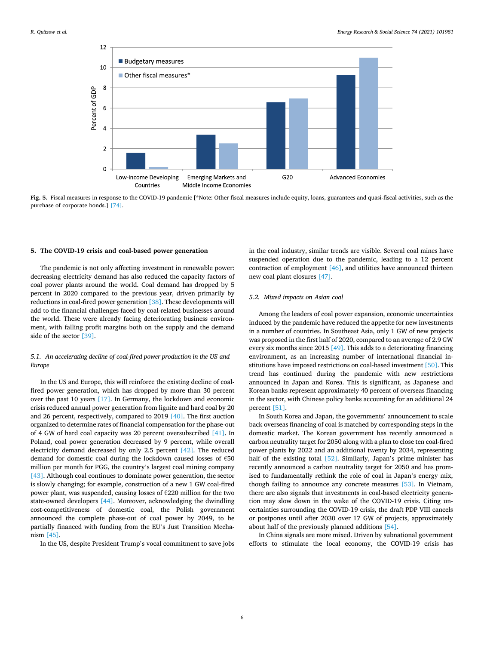<span id="page-5-0"></span>

**Fig. 5.** Fiscal measures in response to the COVID-19 pandemic [\*Note: Other fiscal measures include equity, loans, guarantees and quasi-fiscal activities, such as the purchase of corporate bonds.] [\[74\]](#page-10-0).

#### **5. The COVID-19 crisis and coal-based power generation**

The pandemic is not only affecting investment in renewable power: decreasing electricity demand has also reduced the capacity factors of coal power plants around the world. Coal demand has dropped by 5 percent in 2020 compared to the previous year, driven primarily by reductions in coal-fired power generation [\[38\].](#page-9-0) These developments will add to the financial challenges faced by coal-related businesses around the world. These were already facing deteriorating business environment, with falling profit margins both on the supply and the demand side of the sector [\[39\].](#page-9-0)

# *5.1. An accelerating decline of coal-fired power production in the US and Europe*

In the US and Europe, this will reinforce the existing decline of coalfired power generation, which has dropped by more than 30 percent over the past 10 years [\[17\].](#page-9-0) In Germany, the lockdown and economic crisis reduced annual power generation from lignite and hard coal by 20 and 26 percent, respectively, compared to 2019 [\[40\]](#page-9-0). The first auction organized to determine rates of financial compensation for the phase-out of 4 GW of hard coal capacity was 20 percent oversubscribed [\[41\].](#page-9-0) In Poland, coal power generation decreased by 9 percent, while overall electricity demand decreased by only 2.5 percent [\[42\].](#page-9-0) The reduced demand for domestic coal during the lockdown caused losses of €50 million per month for PGG, the country's largest coal mining company [\[43\]](#page-9-0). Although coal continues to dominate power generation, the sector is slowly changing; for example, construction of a new 1 GW coal-fired power plant, was suspended, causing losses of €220 million for the two state-owned developers [\[44\]](#page-9-0). Moreover, acknowledging the dwindling cost-competitiveness of domestic coal, the Polish government announced the complete phase-out of coal power by 2049, to be partially financed with funding from the EU's Just Transition Mechanism [\[45\].](#page-9-0)

In the US, despite President Trump's vocal commitment to save jobs

in the coal industry, similar trends are visible. Several coal mines have suspended operation due to the pandemic, leading to a 12 percent contraction of employment [\[46\],](#page-9-0) and utilities have announced thirteen new coal plant closures [\[47\]](#page-9-0).

#### *5.2. Mixed impacts on Asian coal*

Among the leaders of coal power expansion, economic uncertainties induced by the pandemic have reduced the appetite for new investments in a number of countries. In Southeast Asia, only 1 GW of new projects was proposed in the first half of 2020, compared to an average of 2.9 GW every six months since 2015 [\[49\].](#page-9-0) This adds to a deteriorating financing environment, as an increasing number of international financial institutions have imposed restrictions on coal-based investment [\[50\].](#page-10-0) This trend has continued during the pandemic with new restrictions announced in Japan and Korea. This is significant, as Japanese and Korean banks represent approximately 40 percent of overseas financing in the sector, with Chinese policy banks accounting for an additional 24 percent [\[51\]](#page-10-0).

In South Korea and Japan, the governments' announcement to scale back overseas financing of coal is matched by corresponding steps in the domestic market. The Korean government has recently announced a carbon neutrality target for 2050 along with a plan to close ten coal-fired power plants by 2022 and an additional twenty by 2034, representing half of the existing total [\[52\]](#page-10-0). Similarly, Japan's prime minister has recently announced a carbon neutrality target for 2050 and has promised to fundamentally rethink the role of coal in Japan's energy mix, though failing to announce any concrete measures [\[53\].](#page-10-0) In Vietnam, there are also signals that investments in coal-based electricity generation may slow down in the wake of the COVID-19 crisis. Citing uncertainties surrounding the COVID-19 crisis, the draft PDP VIII cancels or postpones until after 2030 over 17 GW of projects, approximately about half of the previously planned additions [\[54\].](#page-10-0)

In China signals are more mixed. Driven by subnational government efforts to stimulate the local economy, the COVID-19 crisis has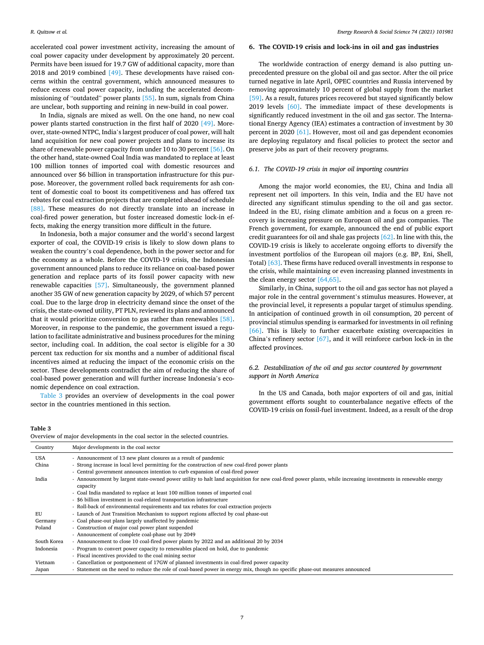accelerated coal power investment activity, increasing the amount of coal power capacity under development by approximately 20 percent. Permits have been issued for 19.7 GW of additional capacity, more than 2018 and 2019 combined [\[49\]](#page-9-0). These developments have raised concerns within the central government, which announced measures to reduce excess coal power capacity, including the accelerated decommissioning of "outdated" power plants [\[55\].](#page-10-0) In sum, signals from China are unclear, both supporting and reining in new-build in coal power.

In India, signals are mixed as well. On the one hand, no new coal power plants started construction in the first half of 2020 [\[49\].](#page-9-0) Moreover, state-owned NTPC, India's largest producer of coal power, will halt land acquisition for new coal power projects and plans to increase its share of renewable power capacity from under 10 to 30 percent [\[56\]](#page-10-0). On the other hand, state-owned Coal India was mandated to replace at least 100 million tonnes of imported coal with domestic resources and announced over \$6 billion in transportation infrastructure for this purpose. Moreover, the government rolled back requirements for ash content of domestic coal to boost its competitiveness and has offered tax rebates for coal extraction projects that are completed ahead of schedule [\[88\]](#page-10-0). These measures do not directly translate into an increase in coal-fired power generation, but foster increased domestic lock-in effects, making the energy transition more difficult in the future.

In Indonesia, both a major consumer and the world's second largest exporter of coal, the COVID-19 crisis is likely to slow down plans to weaken the country's coal dependence, both in the power sector and for the economy as a whole. Before the COVID-19 crisis, the Indonesian government announced plans to reduce its reliance on coal-based power generation and replace parts of its fossil power capacity with new renewable capacities [\[57\]](#page-10-0). Simultaneously, the government planned another 35 GW of new generation capacity by 2029, of which 57 percent coal. Due to the large drop in electricity demand since the onset of the crisis, the state-owned utility, PT PLN, reviewed its plans and announced that it would prioritize conversion to gas rather than renewables [\[58\]](#page-10-0). Moreover, in response to the pandemic, the government issued a regulation to facilitate administrative and business procedures for the mining sector, including coal. In addition, the coal sector is eligible for a 30 percent tax reduction for six months and a number of additional fiscal incentives aimed at reducing the impact of the economic crisis on the sector. These developments contradict the aim of reducing the share of coal-based power generation and will further increase Indonesia's economic dependence on coal extraction.

Table 3 provides an overview of developments in the coal power sector in the countries mentioned in this section.

### **6. The COVID-19 crisis and lock-ins in oil and gas industries**

The worldwide contraction of energy demand is also putting unprecedented pressure on the global oil and gas sector. After the oil price turned negative in late April, OPEC countries and Russia intervened by removing approximately 10 percent of global supply from the market [\[59\]](#page-10-0). As a result, futures prices recovered but stayed significantly below 2019 levels [\[60\]](#page-10-0). The immediate impact of these developments is significantly reduced investment in the oil and gas sector. The International Energy Agency (IEA) estimates a contraction of investment by 30 percent in 2020 [\[61\].](#page-10-0) However, most oil and gas dependent economies are deploying regulatory and fiscal policies to protect the sector and preserve jobs as part of their recovery programs.

#### *6.1. The COVID-19 crisis in major oil importing countries*

Among the major world economies, the EU, China and India all represent net oil importers. In this vein, India and the EU have not directed any significant stimulus spending to the oil and gas sector. Indeed in the EU, rising climate ambition and a focus on a green recovery is increasing pressure on European oil and gas companies. The French government, for example, announced the end of public export credit guarantees for oil and shale gas projects [\[62\]](#page-10-0). In line with this, the COVID-19 crisis is likely to accelerate ongoing efforts to diversify the investment portfolios of the European oil majors (e.g. BP, Eni, Shell, Total) [\[63\]](#page-10-0). These firms have reduced overall investments in response to the crisis, while maintaining or even increasing planned investments in the clean energy sector [\[64,65\].](#page-10-0)

Similarly, in China, support to the oil and gas sector has not played a major role in the central government's stimulus measures. However, at the provincial level, it represents a popular target of stimulus spending. In anticipation of continued growth in oil consumption, 20 percent of provincial stimulus spending is earmarked for investments in oil refining [\[66\]](#page-10-0). This is likely to further exacerbate existing overcapacities in China's refinery sector [\[67\]](#page-10-0), and it will reinforce carbon lock-in in the affected provinces.

# *6.2. Destabilization of the oil and gas sector countered by government support in North America*

In the US and Canada, both major exporters of oil and gas, initial government efforts sought to counterbalance negative effects of the COVID-19 crisis on fossil-fuel investment. Indeed, as a result of the drop

#### **Table 3**

Overview of major developments in the coal sector in the selected countries.

| Country     | Major developments in the coal sector                                                                                                                                      |
|-------------|----------------------------------------------------------------------------------------------------------------------------------------------------------------------------|
| <b>USA</b>  | - Announcement of 13 new plant closures as a result of pandemic                                                                                                            |
| China       | - Strong increase in local level permitting for the construction of new coal-fired power plants                                                                            |
|             | - Central government announces intention to curb expansion of coal-fired power                                                                                             |
| India       | - Announcement by largest state-owned power utility to halt land acquisition for new coal-fired power plants, while increasing investments in renewable energy<br>capacity |
|             | - Coal India mandated to replace at least 100 million tonnes of imported coal                                                                                              |
|             | - \$6 billion investment in coal-related transportation infrastructure                                                                                                     |
|             | - Roll-back of environmental requirements and tax rebates for coal extraction projects                                                                                     |
| <b>EU</b>   | - Launch of Just Transition Mechanism to support regions affected by coal phase-out                                                                                        |
| Germany     | - Coal phase-out plans largely unaffected by pandemic                                                                                                                      |
| Poland      | - Construction of major coal power plant suspended                                                                                                                         |
|             | - Announcement of complete coal-phase out by 2049                                                                                                                          |
| South Korea | - Announcement to close 10 coal-fired power plants by 2022 and an additional 20 by 2034                                                                                    |
| Indonesia   | - Program to convert power capacity to renewables placed on hold, due to pandemic                                                                                          |
|             | - Fiscal incentives provided to the coal mining sector                                                                                                                     |
| Vietnam     | - Cancellation or postponement of 17GW of planned investments in coal-fired power capacity                                                                                 |
| Japan       | - Statement on the need to reduce the role of coal-based power in energy mix, though no specific phase-out measures announced                                              |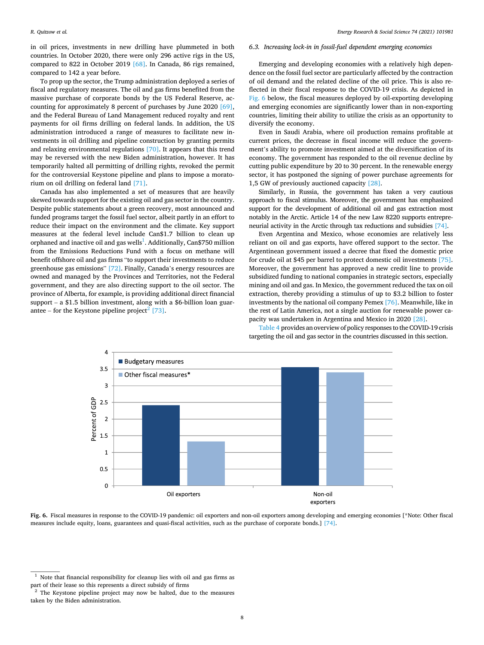in oil prices, investments in new drilling have plummeted in both countries. In October 2020, there were only 296 active rigs in the US, compared to 822 in October 2019 [\[68\]](#page-10-0). In Canada, 86 rigs remained, compared to 142 a year before.

To prop up the sector, the Trump administration deployed a series of fiscal and regulatory measures. The oil and gas firms benefited from the massive purchase of corporate bonds by the US Federal Reserve, accounting for approximately 8 percent of purchases by June 2020 [\[69\]](#page-10-0), and the Federal Bureau of Land Management reduced royalty and rent payments for oil firms drilling on federal lands. In addition, the US administration introduced a range of measures to facilitate new investments in oil drilling and pipeline construction by granting permits and relaxing environmental regulations [\[70\].](#page-10-0) It appears that this trend may be reversed with the new Biden administration, however. It has temporarily halted all permitting of drilling rights, revoked the permit for the controversial Keystone pipeline and plans to impose a moratorium on oil drilling on federal land [\[71\]](#page-10-0).

Canada has also implemented a set of measures that are heavily skewed towards support for the existing oil and gas sector in the country. Despite public statements about a green recovery, most announced and funded programs target the fossil fuel sector, albeit partly in an effort to reduce their impact on the environment and the climate. Key support measures at the federal level include Can\$1.7 billion to clean up orphaned and inactive oil and gas wells $^1$ . Additionally, Can\$750 million from the Emissions Reductions Fund with a focus on methane will benefit offshore oil and gas firms "to support their investments to reduce greenhouse gas emissions" [\[72\].](#page-10-0) Finally, Canada's energy resources are owned and managed by the Provinces and Territories, not the Federal government, and they are also directing support to the oil sector. The province of Alberta, for example, is providing additional direct financial support – a \$1.5 billion investment, along with a \$6-billion loan guar-antee – for the Keystone pipeline project<sup>2</sup> [\[73\].](#page-10-0)

## *6.3. Increasing lock-in in fossil-fuel dependent emerging economies*

Emerging and developing economies with a relatively high dependence on the fossil fuel sector are particularly affected by the contraction of oil demand and the related decline of the oil price. This is also reflected in their fiscal response to the COVID-19 crisis. As depicted in Fig. 6 below, the fiscal measures deployed by oil-exporting developing and emerging economies are significantly lower than in non-exporting countries, limiting their ability to utilize the crisis as an opportunity to diversify the economy.

Even in Saudi Arabia, where oil production remains profitable at current prices, the decrease in fiscal income will reduce the government's ability to promote investment aimed at the diversification of its economy. The government has responded to the oil revenue decline by cutting public expenditure by 20 to 30 percent. In the renewable energy sector, it has postponed the signing of power purchase agreements for 1,5 GW of previously auctioned capacity [\[28\].](#page-9-0)

Similarly, in Russia, the government has taken a very cautious approach to fiscal stimulus. Moreover, the government has emphasized support for the development of additional oil and gas extraction most notably in the Arctic. Article 14 of the new Law 8220 supports entrepreneurial activity in the Arctic through tax reductions and subsidies [\[74\]](#page-10-0).

Even Argentina and Mexico, whose economies are relatively less reliant on oil and gas exports, have offered support to the sector. The Argentinean government issued a decree that fixed the domestic price for crude oil at \$45 per barrel to protect domestic oil investments [\[75\]](#page-10-0). Moreover, the government has approved a new credit line to provide subsidized funding to national companies in strategic sectors, especially mining and oil and gas. In Mexico, the government reduced the tax on oil extraction, thereby providing a stimulus of up to \$3.2 billion to foster investments by the national oil company Pemex [\[76\]](#page-10-0). Meanwhile, like in the rest of Latin America, not a single auction for renewable power capacity was undertaken in Argentina and Mexico in 2020 [\[28\]](#page-9-0).

[Table 4](#page-8-0) provides an overview of policy responses to the COVID-19 crisis targeting the oil and gas sector in the countries discussed in this section.



**Fig. 6.** Fiscal measures in response to the COVID-19 pandemic: oil exporters and non-oil exporters among developing and emerging economies [\*Note: Other fiscal measures include equity, loans, guarantees and quasi-fiscal activities, such as the purchase of corporate bonds.] [\[74\].](#page-10-0)

 $1$  Note that financial responsibility for cleanup lies with oil and gas firms as part of their lease so this represents a direct subsidy of firms

 $2$  The Keystone pipeline project may now be halted, due to the measures taken by the Biden administration.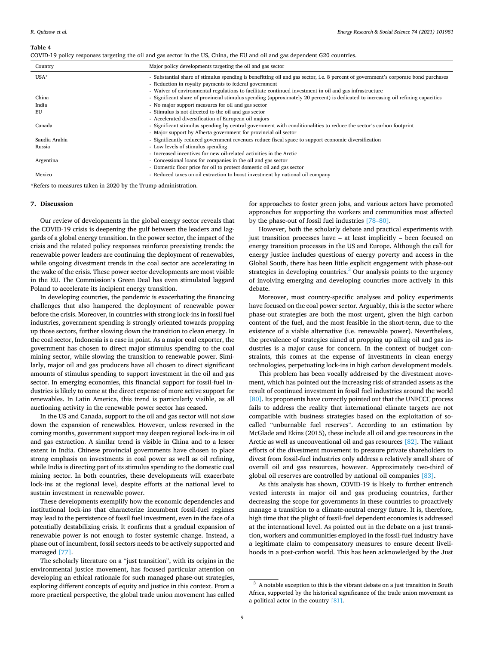#### <span id="page-8-0"></span>**Table 4**

| COVID-19 policy responses targeting the oil and gas sector in the US, China, the EU and oil and gas dependent G20 countries. |  |  |  |
|------------------------------------------------------------------------------------------------------------------------------|--|--|--|
|                                                                                                                              |  |  |  |

| Country       | Major policy developments targeting the oil and gas sector                                                                          |
|---------------|-------------------------------------------------------------------------------------------------------------------------------------|
| $USA*$        | - Substantial share of stimulus spending is benefitting oil and gas sector, i.e. 8 percent of government's corporate bond purchases |
|               | - Reduction in royalty payments to federal government                                                                               |
|               | - Waiver of environmental regulations to facilitate continued investment in oil and gas infrastructure                              |
| China         | - Significant share of provincial stimulus spending (approximately 20 percent) is dedicated to increasing oil refining capacities   |
| India         | - No major support measures for oil and gas sector                                                                                  |
| EU            | - Stimulus is not directed to the oil and gas sector                                                                                |
|               | - Accelerated diversification of European oil majors                                                                                |
| Canada        | - Significant stimulus spending by central government with conditionalities to reduce the sector's carbon footprint                 |
|               | - Major support by Alberta government for provincial oil sector                                                                     |
| Saudia Arabia | - Significantly reduced government revenues reduce fiscal space to support economic diversification                                 |
| Russia        | - Low levels of stimulus spending                                                                                                   |
|               | - Increased incentives for new oil-related activities in the Arctic                                                                 |
| Argentina     | - Concessional loans for companies in the oil and gas sector                                                                        |
|               | - Domestic floor price for oil to protect domestic oil and gas sector                                                               |
| Mexico        | - Reduced taxes on oil extraction to boost investment by national oil company                                                       |

\*Refers to measures taken in 2020 by the Trump administration.

#### **7. Discussion**

Our review of developments in the global energy sector reveals that the COVID-19 crisis is deepening the gulf between the leaders and laggards of a global energy transition. In the power sector, the impact of the crisis and the related policy responses reinforce preexisting trends: the renewable power leaders are continuing the deployment of renewables, while ongoing divestment trends in the coal sector are accelerating in the wake of the crisis. These power sector developments are most visible in the EU. The Commission's Green Deal has even stimulated laggard Poland to accelerate its incipient energy transition.

In developing countries, the pandemic is exacerbating the financing challenges that also hampered the deployment of renewable power before the crisis. Moreover, in countries with strong lock-ins in fossil fuel industries, government spending is strongly oriented towards propping up those sectors, further slowing down the transition to clean energy. In the coal sector, Indonesia is a case in point. As a major coal exporter, the government has chosen to direct major stimulus spending to the coal mining sector, while slowing the transition to renewable power. Similarly, major oil and gas producers have all chosen to direct significant amounts of stimulus spending to support investment in the oil and gas sector. In emerging economies, this financial support for fossil-fuel industries is likely to come at the direct expense of more active support for renewables. In Latin America, this trend is particularly visible, as all auctioning activity in the renewable power sector has ceased.

In the US and Canada, support to the oil and gas sector will not slow down the expansion of renewables. However, unless reversed in the coming months, government support may deepen regional lock-ins in oil and gas extraction. A similar trend is visible in China and to a lesser extent in India. Chinese provincial governments have chosen to place strong emphasis on investments in coal power as well as oil refining, while India is directing part of its stimulus spending to the domestic coal mining sector. In both countries, these developments will exacerbate lock-ins at the regional level, despite efforts at the national level to sustain investment in renewable power.

These developments exemplify how the economic dependencies and institutional lock-ins that characterize incumbent fossil-fuel regimes may lead to the persistence of fossil fuel investment, even in the face of a potentially destabilizing crisis. It confirms that a gradual expansion of renewable power is not enough to foster systemic change. Instead, a phase out of incumbent, fossil sectors needs to be actively supported and managed [\[77\].](#page-10-0)

The scholarly literature on a "just transition", with its origins in the environmental justice movement, has focused particular attention on developing an ethical rationale for such managed phase-out strategies, exploring different concepts of equity and justice in this context. From a more practical perspective, the global trade union movement has called

for approaches to foster green jobs, and various actors have promoted approaches for supporting the workers and communities most affected by the phase-out of fossil fuel industries [\[78](#page-10-0)–80].

However, both the scholarly debate and practical experiments with just transition processes have – at least implicitly – been focused on energy transition processes in the US and Europe. Although the call for energy justice includes questions of energy poverty and access in the Global South, there has been little explicit engagement with phase-out strategies in developing countries. $3$  Our analysis points to the urgency of involving emerging and developing countries more actively in this debate.

Moreover, most country-specific analyses and policy experiments have focused on the coal power sector. Arguably, this is the sector where phase-out strategies are both the most urgent, given the high carbon content of the fuel, and the most feasible in the short-term, due to the existence of a viable alternative (i.e. renewable power). Nevertheless, the prevalence of strategies aimed at propping up ailing oil and gas industries is a major cause for concern. In the context of budget constraints, this comes at the expense of investments in clean energy technologies, perpetuating lock-ins in high carbon development models.

This problem has been vocally addressed by the divestment movement, which has pointed out the increasing risk of stranded assets as the result of continued investment in fossil fuel industries around the world [\[80\]](#page-10-0). Its proponents have correctly pointed out that the UNFCCC process fails to address the reality that international climate targets are not compatible with business strategies based on the exploitation of socalled "unburnable fuel reserves". According to an estimation by McGlade and Ekins (2015), these include all oil and gas resources in the Arctic as well as unconventional oil and gas resources [\[82\]](#page-10-0). The valiant efforts of the divestment movement to pressure private shareholders to divest from fossil-fuel industries only address a relatively small share of overall oil and gas resources, however. Approximately two-third of global oil reserves are controlled by national oil companies [\[83\]](#page-10-0).

As this analysis has shown, COVID-19 is likely to further entrench vested interests in major oil and gas producing countries, further decreasing the scope for governments in these countries to proactively manage a transition to a climate-neutral energy future. It is, therefore, high time that the plight of fossil-fuel dependent economies is addressed at the international level. As pointed out in the debate on a just transition, workers and communities employed in the fossil-fuel industry have a legitimate claim to compensatory measures to ensure decent livelihoods in a post-carbon world. This has been acknowledged by the Just

 $^3\,$  A notable exception to this is the vibrant debate on a just transition in South Africa, supported by the historical significance of the trade union movement as a political actor in the country [\[81\].](#page-10-0)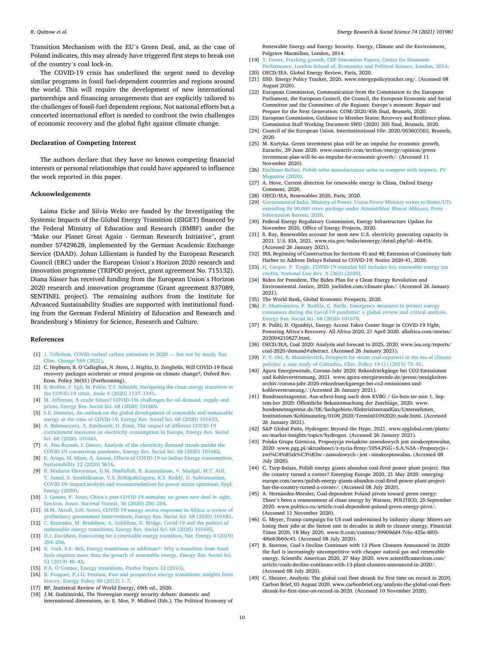<span id="page-9-0"></span>Transition Mechanism with the EU's Green Deal, and, as the case of Poland indicates, this may already have triggered first steps to break out of the country's coal lock-in.

The COVID-19 crisis has underlined the urgent need to develop similar programs in fossil fuel-dependent countries and regions around the world. This will require the development of new international partnerships and financing arrangements that are explicitly tailored to the challenges of fossil-fuel dependent regions. Not national efforts but a concerted international effort is needed to confront the twin challenges of economic recovery and the global fight against climate change.

#### **Declaration of Competing Interest**

The authors declare that they have no known competing financial interests or personal relationships that could have appeared to influence the work reported in this paper.

#### **Acknowledgements**

Laima Eicke and Silvia Weko are funded by the Investigating the Systemic Impacts of the Global Energy Transition (ISIGET) financed by the Federal Ministry of Education and Research (BMBF) under the "Make our Planet Great Again - German Research Initiative", grant number 57429628, implemented by the German Academic Exchange Service (DAAD). Johan Lilliestam is funded by the European Research Council (ERC) under the European Union's Horizon 2020 research and innovation programme (TRIPOD project, grant agreement No. 715132). Diana Süsser has received funding from the European Union's Horizon 2020 research and innovation programme (Grant agreement 837089, SENTINEL project). The remaining authors from the Institute for Advanced Sustainability Studies are supported with institutional funding from the German Federal Ministry of Education and Research and Brandenburg's Ministry for Science, Research and Culture.

#### **References**

- [1] [J. Tollefson, COVID curbed carbon emissions in 2020](http://refhub.elsevier.com/S2214-6296(21)00074-8/h0005)  but not by much, Nat. [Clim. Change 589 \(2021\)](http://refhub.elsevier.com/S2214-6296(21)00074-8/h0005).
- [2] C. Hepburn, B. O'Callaghan, N. Stern, J. Stiglitz, D. Zenghelis, Will COVID-19 fiscal recovery packages accelerate or retard progress on climate change?, Oxford Rev. Econ. Policy 36(S1) (Forthcoming).
- [3] [B. Steffen, F. Egli, M. Pahle, T.S. Schmidt, Navigating the clean energy transition in](http://refhub.elsevier.com/S2214-6296(21)00074-8/h0015)  [the COVID-19 crisis, Joule 4 \(2020\) 1137](http://refhub.elsevier.com/S2214-6296(21)00074-8/h0015)–1141.
- [4] [M. Jefferson, A crude future? COVID-19s challenges for oil demand, supply and](http://refhub.elsevier.com/S2214-6296(21)00074-8/h0020)  [prices, Energy Res. Social Sci. 68 \(2020\) 101669](http://refhub.elsevier.com/S2214-6296(21)00074-8/h0020).
- [5] [S.E. Hosseini, An outlook on the global development of renewable and sustainable](http://refhub.elsevier.com/S2214-6296(21)00074-8/h0025)  [energy at the time of COVID-19, Energy Res. Social Sci. 68 \(2020\) 101633.](http://refhub.elsevier.com/S2214-6296(21)00074-8/h0025)
- [6] [A. Bahmanyara, A. Estebsarib, D. Ernst, The impact of different COVID-19](http://refhub.elsevier.com/S2214-6296(21)00074-8/h0030) [containment measures on electricity consumption in Europe, Energy Res. Social](http://refhub.elsevier.com/S2214-6296(21)00074-8/h0030)  [Sci. 68 \(2020\) 101683](http://refhub.elsevier.com/S2214-6296(21)00074-8/h0030).
- [7] [A. Abu-Rayash, I. Dincer, Analysis of the electricity demand trends amidst the](http://refhub.elsevier.com/S2214-6296(21)00074-8/h0035) [COVID-19 coronavirus pandemic, Energy Res. Social Sci. 68 \(2020\) 101682](http://refhub.elsevier.com/S2214-6296(21)00074-8/h0035).
- [8] [K. Aruga, M. Islam, A. Jannat, Effects of COVID-19 on Indian Energy consumption,](http://refhub.elsevier.com/S2214-6296(21)00074-8/h0040)  [Sustainability 12 \(2020\) 5616.](http://refhub.elsevier.com/S2214-6296(21)00074-8/h0040)
- [9] [R. Madurai Elavarasan, G.M. Shafiullah, R. Kannadasan, V. Mudgal, M.T. Arif,](http://refhub.elsevier.com/S2214-6296(21)00074-8/h0045)  [T. Jamal, S. Senthilkumar, V.S. SriRajaBalaguru, K.S. Reddy, U. Subramaniam,](http://refhub.elsevier.com/S2214-6296(21)00074-8/h0045) [COVID-19: impact analysis and recommendations for power sector operation, Appl.](http://refhub.elsevier.com/S2214-6296(21)00074-8/h0045)  [Energy \(2020\).](http://refhub.elsevier.com/S2214-6296(21)00074-8/h0045)
- [10] J. Gosens, F. Jotzo, China'[s post-COVID-19 stimulus: no green new deal in sight,](http://refhub.elsevier.com/S2214-6296(21)00074-8/h0050)  [Environ. Innov. Societal Transit. 36 \(2020\) 250](http://refhub.elsevier.com/S2214-6296(21)00074-8/h0050)–254.
- [11] M.M. Akrofi, S.H. Antwi, COVID-19 energy sector responses in Africa: a review of [preliminary government interventions, Energy Res. Social Sci. 68 \(2020\) 101681.](http://refhub.elsevier.com/S2214-6296(21)00074-8/h0055)
- [12] [C. Kuzemko, M. Bradshaw, A. Goldthau, G. Bridge, Covid-19 and the politics of](http://refhub.elsevier.com/S2214-6296(21)00074-8/h0060) [sustainable energy transitions, Energy Res. Social Sci. 68 \(2020\) 101685](http://refhub.elsevier.com/S2214-6296(21)00074-8/h0060).
- [13] [D.J. Davidson, Exnovating for a renewable energy transition, Nat. Energy 4 \(2019\)](http://refhub.elsevier.com/S2214-6296(21)00074-8/h0065)  254–[256.](http://refhub.elsevier.com/S2214-6296(21)00074-8/h0065)
- [14] [R. York, S.E. Bell, Energy transitions or additions?: Why a transition from fossil](http://refhub.elsevier.com/S2214-6296(21)00074-8/h0070)  [fuels requires more than the growth of renewable energy, Energy Res. Social Sci.](http://refhub.elsevier.com/S2214-6296(21)00074-8/h0070)  [51 \(2019\) 40](http://refhub.elsevier.com/S2214-6296(21)00074-8/h0070)–43.
- [15] P.A. O'[Connor, Energy transitions, Pardee Papers 12 \(2010\)](http://refhub.elsevier.com/S2214-6296(21)00074-8/h0075).
- [16] [R. Fouquet, P.J.G. Pearson, Past and prospective energy transitions: insights from](http://refhub.elsevier.com/S2214-6296(21)00074-8/h0080)  [history, Energy Policy 50 \(2012\) 1](http://refhub.elsevier.com/S2214-6296(21)00074-8/h0080)-7.
- [17] BP, Statistical Review of World Energy, 69th ed., 2020.
- [18] J.M. Godzimirski, The Norwegian energy security debate: domestic and international dimensions, in: E. Moe, P. Midford (Eds.), The Political Economy of

Renewable Energy and Energy Security. Energy, Climate and the Environment, Palgrave Macmillan, London, 2014.

- [19] [T. Fetzer, Fracking growth, CEP Discussion Papers, Centre for Economic](http://refhub.elsevier.com/S2214-6296(21)00074-8/h0095)  [Performance, London School of, Economics and Political Science, London, 2014.](http://refhub.elsevier.com/S2214-6296(21)00074-8/h0095)
- [20] OECD/IEA. Global Energy Review, Paris, 2020.
- [21] IISD. Energy Policy Tracker, 2020. www.energypolicytracker.org/. (Accessed 08 August 2020).
- [22] European Commission, Communication from the Commission to the European Parliament, the European Council, the Council, the European Economic and Social Committee and the Committee of the Regions: Europe's moment: Repair and Prepare for the Next Generation: COM/2020/456 final, Brussels, 2020.
- [23] European Commission, Guidance to Member States: Recovery and Resilience plans. Commission Staff Working Document SWD (2020) 205 final, Brussels, 2020.
- [24] Council of the European Union. Interinstitutional File: 2020/0036(COD), Brussels, 2020.
- [25] M. Kurtyka. Green investment plan will be an impulse for economic growth, Euractiv, 29 June 2020. www.euractiv.com/section/energy/opinion/greeninvestment-plan-will-be-an-impulse-for-economic-growth/. (Accessed 11 November 2020).
- [26] [Emiliano Bellini, Polish solar manufacturers unite to compete with imports, PV](http://refhub.elsevier.com/S2214-6296(21)00074-8/h0130) [Magazine \(2020\)](http://refhub.elsevier.com/S2214-6296(21)00074-8/h0130).
- [27] A. Hove, Current direction for renewable energy in China, Oxford Energy Comment, 2020.
- [28] OECD/IEA, Renewables 2020, Paris, 2020.
- [29] [Governmentof India, Ministry of Power. Union Power Ministry writes to States/UTs](http://refhub.elsevier.com/S2214-6296(21)00074-8/h0145)  [extending Rs 90,000 crore package under Atmanirbhar Bharat Abhiyan, Press](http://refhub.elsevier.com/S2214-6296(21)00074-8/h0145)  [Information Bureau, 2020](http://refhub.elsevier.com/S2214-6296(21)00074-8/h0145).
- [30] Federal Energy Regulatory Commission, Energy Infrastructure Update for November 2020, Office of Energy Projects, 2020.
- [31] S. Ray, Renewables account for most new U.S. electricity generating capacity in 2021. U.S. EIA, 2021. www.eia.gov/todayinenergy/detail.php?id=46416. (Accessed 26 January 2021).
- [32] IRS, Beginning of Construction for Sections 45 and 48; Extension of Continuity Safe Harbor to Address Delays Related to COVID-19: Notice 2020-41, 2020.
- [33] [H. Cooper, P. Tingle, COVID-19 stimulus bill includes key renewable energy tax](http://refhub.elsevier.com/S2214-6296(21)00074-8/h0165)  [credits, National Law Rev. X \(363\) \(2020\)](http://refhub.elsevier.com/S2214-6296(21)00074-8/h0165).
- [34] Biden for President, The Biden Plan for a Clean Energy Revolution and Environmental Justice, 2020. joebiden.com/climate-plan/. (Accessed 26 January 2021).
- [35] The World Bank, Global Economic Prospects, 2020.
- [36] [P. Mastropietro, P. Rodilla, C. Batlle, Emergency measures to protect energy](http://refhub.elsevier.com/S2214-6296(21)00074-8/h0180) [consumers during the Covid-19 pandemic: a global review and critical analysis,](http://refhub.elsevier.com/S2214-6296(21)00074-8/h0180) [Energy Res. Social Sci. 68 \(2020\) 101678.](http://refhub.elsevier.com/S2214-6296(21)00074-8/h0180)
- [37] R. Puliti; D. Ogunbiyi, Energy Access Takes Center Stage in COVID-19 Fight, Powering Africa's Recovery. All Africa 2020, 21 April 2020. allafrica.com/stories/ 202004210827.html.
- [38] OECD/IEA, Coal 2020: Analysis and forecast to 2025, 2020. www.iea.org/reports/ coal-2020/demand#abstract. (Accessed 26 January 2021).
- [39] [P.-Y. Oei, R. Mendelevitch, Prospects for steam coal exporters in the era of climate](http://refhub.elsevier.com/S2214-6296(21)00074-8/h0195)  [policies: a case study of Colombia, Clim. Policy 19 \(1\) \(2019\) 73](http://refhub.elsevier.com/S2214-6296(21)00074-8/h0195)–91.
- [40] Agora Energiewende, Corona-Jahr 2020: Rekordrückgänge bei CO2-Emissionen und Kohleverstromung, 2021. www.agora-energiewende.de/presse/neuigkeitenarchiv/corona-jahr-2020-rekordrueckgaenge-bei-co2-emissionen-undkohleverstromung/. (Accessed 26 January 2021).
- [41] Bundesnetzagentur, Aus-schrei-bung nach dem KVBG / Ge-bots-ter-min 1. Septem-ber 2020: Öffentliche Bekanntmachung der Zuschläge, 2020. www. bundesnetzagentur.de/DE/Sachgebiete/ElektrizitaetundGas/Unternehmen\_ Institutionen/Kohleausstieg/0109\_2020/Termin01092020\_node.html. (Accessed 26 January 2021).
- [42] S&P Global Patts, Hydrogen: Beyond the Hype, 2021. www.spglobal.com/platts/ en/market-insights/topics/hydrogen. (Accessed 26 January 2021).
- [43] Polska Grupa Górnicza, Propozycja związków zawodowych jest nieakceptowalna, 2020. www.pgg.pl/aktualnosci/z-zycia-firmy/1054,PGG+S.A.%3A+Propozycja+ zwi%C4%85zk%C3%B3w+zawodowych+jest+nieakceptowalna. (Accessed 08 July 2020).
- [44] C. Turp-Balazs, Polish energy giants abandon coal-fired power plant project. Has the country turned a corner? Emerging Europe 2020, 21 May 2020. emergingeurope.com/news/polish-energy-giants-abandon-coal-fired-power-plant-projecthas-the-country-turned-a-corner/. (Accessed 08 July 2020).
- [45] A. Hernández-Morales, Coal-dependent Poland pivots toward green energy: There's been a reassessment of clean energy by Warsaw, POLITICO, 25 September 2020. www.politico.eu/article/coal-dependent-poland-green-energy-pivot/. (Accessed 11 November 2020).
- [46] G. Meyer, Trump campaign for US coal undermined by industry slump: Miners are losing their jobs at the fastest rate in decades in shift to cleaner energy. Financial Times 2020, 18 May 2020. www.ft.com/content/39909dd4-7c6c-425e-8f05- 4f6e63b60c43. (Accessed 08 July 2020).
- [47] B. Storrow, Coal's Decline Continues with 13 Plant Closures Announced in 2020: the fuel is increasingly uncompetitive with cheaper natural gas and renewable energy. Scientific American 2020, 27 May 2020. www.scientificamerican.com/ article/coals-decline-continues-with-13-plant-closures-announced-in-2020/. (Accessed 08 July 2020).
- [49] C. Shearer, Analysis: The global coal fleet shrank for first time on record in 2020, Carbon Brief, 03 August 2020. www.carbonbrief.org/analysis-the-global-coal-fleetshrank-for-first-time-on-record-in-2020. (Accessed 10 November 2020).